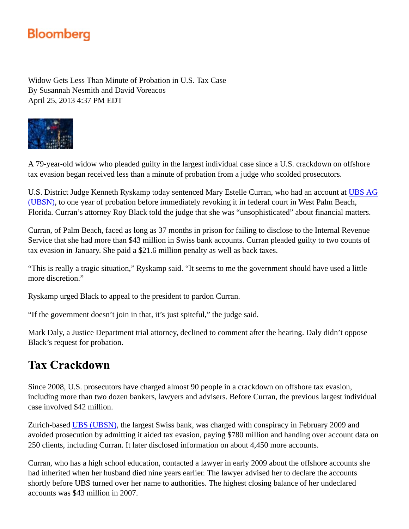## **Bloomberg**

Widow Gets Less Than Minute of Probation in U.S. Tax Case By Susannah Nesmith and David Voreacos April 25, 2013 4:37 PM EDT



A 79-year-old widow who pleaded guilty in the largest individual case since a U.S. crackdown on offshore tax evasion began received less than a minute of probation from a judge who scolded prosecutors.

U.S. District Judge Kenneth Ryskamp today sentenced Mary Estelle Curran, who had an account at UBS AG (UBSN), to one year of probation before immediately revoking it in federal court in West Palm Beach, Florida. Curran's attorney Roy Black told the judge that she was "unsophisticated" about financial matters.

Curran, of Palm Beach, faced as long as 37 months in prison for failing to disclose to the Internal Revenue Service that she had more than \$43 million in Swiss bank accounts. Curran pleaded guilty to two counts of tax evasion in January. She paid a \$21.6 million penalty as well as back taxes.

"This is really a tragic situation," Ryskamp said. "It seems to me the government should have used a little more discretion."

Ryskamp urged Black to appeal to the president to pardon Curran.

"If the government doesn't join in that, it's just spiteful," the judge said.

Mark Daly, a Justice Department trial attorney, declined to comment after the hearing. Daly didn't oppose Black's request for probation.

## **Tax Crackdown**

Since 2008, U.S. prosecutors have charged almost 90 people in a crackdown on offshore tax evasion, including more than two dozen bankers, lawyers and advisers. Before Curran, the previous largest individual case involved \$42 million.

Zurich-based UBS (UBSN), the largest Swiss bank, was charged with conspiracy in February 2009 and avoided prosecution by admitting it aided tax evasion, paying \$780 million and handing over account data on 250 clients, including Curran. It later disclosed information on about 4,450 more accounts.

Curran, who has a high school education, contacted a lawyer in early 2009 about the offshore accounts she had inherited when her husband died nine years earlier. The lawyer advised her to declare the accounts shortly before UBS turned over her name to authorities. The highest closing balance of her undeclared accounts was \$43 million in 2007.